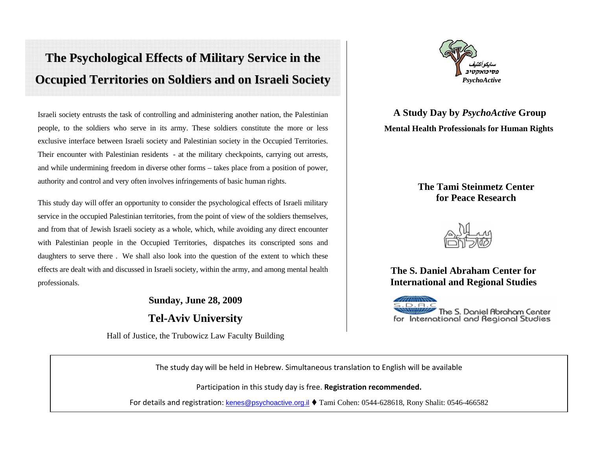# The Psychological Effects of Military Service in the **Occupied Territories on Soldiers and on Israeli Society**

Israeli society entrusts the task of controlling and administering another nation, the Palestinian people, to the soldiers who serve in its army. These soldiers constitute the more or less exclusive interface between Israeli society and Palestinian society in the Occupied Territories. Their encounter with Palestinian residents - at the military checkpoints, carrying out arrests, and while undermining freedom in diverse other forms – takes place from a position of power, authority and control and very often involves infringements of basic human rights.

This study day will offer an opportunity to consider the psychological effects of Israeli military service in the occupied Palestinian territories, from the point of view of the soldiers themselves, and from that of Jewish Israeli society as a whole, which, while avoiding any direct encounter with Palestinian people in the Occupied Territories, dispatches its conscripted sons and daughters to serve there . We shall also look into the question of the extent to which these effects are dealt with and discussed in Israeli society, within the army, and among mental health professionals.

## **Sunday, June 28, 2009 Tel-Aviv University**

Hall of Justice, the Trubowicz Law Faculty Building



**A Study Day by** *PsychoActive* **Group Mental Health Professionals for Human Rights** 

#### **The Tami Steinmetz Center for Peace Research**



**The S. Daniel Abraham Center for International and Regional Studies** 

The S. Daniel Abraham Center for International and Regional Studies

The study day will be held in Hebrew. Simultaneous translation to English will be available

Participation in this study day is free. **Registration recommended.**

For details and registration: <u>kenes@psychoactive.org.il</u> ♦ Tami Cohen: 0544-628618, Rony Shalit: 0546-466582